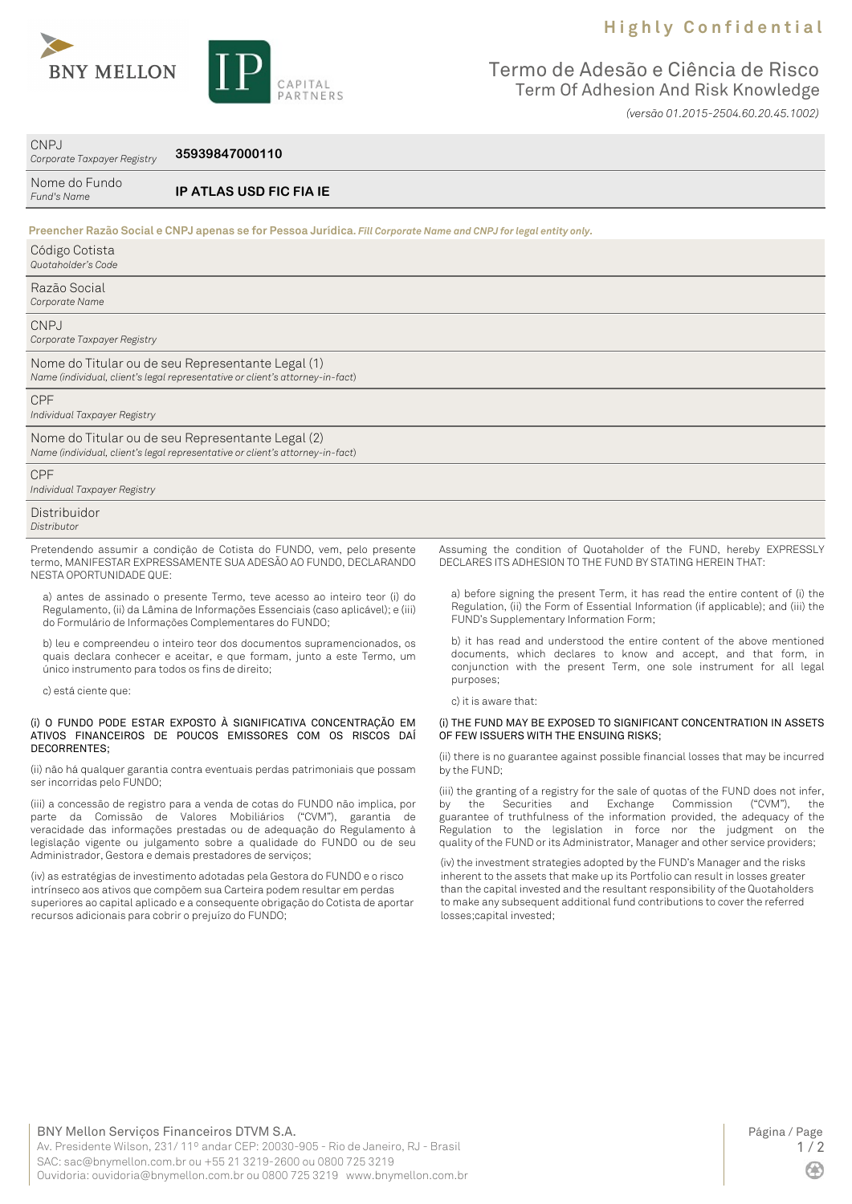## **H i g h l y C o n f i d e n t i a l**



 $QND$ 

Termo de Adesão e Ciência de Risco Term Of Adhesion And Risk Knowledge

*(versão 01.2015-2504.60.20.45.1002)*

| UNPJ<br>Corporate Taxpayer Registry              | 35939847000110                                                                                                                                                                                                        |                                                                                                                                                                                                                    |
|--------------------------------------------------|-----------------------------------------------------------------------------------------------------------------------------------------------------------------------------------------------------------------------|--------------------------------------------------------------------------------------------------------------------------------------------------------------------------------------------------------------------|
| Nome do Fundo<br>Fund's Name                     | IP ATLAS USD FIC FIA IE                                                                                                                                                                                               |                                                                                                                                                                                                                    |
|                                                  | Preencher Razão Social e CNPJ apenas se for Pessoa Jurídica. Fill Corporate Name and CNPJ for legal entity only.                                                                                                      |                                                                                                                                                                                                                    |
| Código Cotista<br>Quotaholder's Code             |                                                                                                                                                                                                                       |                                                                                                                                                                                                                    |
| Razão Social<br>Corporate Name                   |                                                                                                                                                                                                                       |                                                                                                                                                                                                                    |
| CNPJ<br>Corporate Taxpayer Registry              |                                                                                                                                                                                                                       |                                                                                                                                                                                                                    |
|                                                  | Nome do Titular ou de seu Representante Legal (1)<br>Name (individual, client's legal representative or client's attorney-in-fact)                                                                                    |                                                                                                                                                                                                                    |
| CPF<br>Individual Taxpayer Registry              |                                                                                                                                                                                                                       |                                                                                                                                                                                                                    |
|                                                  | Nome do Titular ou de seu Representante Legal (2)<br>Name (individual, client's legal representative or client's attorney-in-fact)                                                                                    |                                                                                                                                                                                                                    |
| CPF<br>Individual Taxpayer Registry              |                                                                                                                                                                                                                       |                                                                                                                                                                                                                    |
| Distribuidor<br>Distributor                      |                                                                                                                                                                                                                       |                                                                                                                                                                                                                    |
| NESTA OPORTUNIDADE QUE:                          | Pretendendo assumir a condição de Cotista do FUNDO, vem, pelo presente<br>termo, MANIFESTAR EXPRESSAMENTE SUA ADESÃO AO FUNDO, DECLARANDO                                                                             | Assuming the condition of Quotaholder of the FUND, hereby EXPRESSLY<br>DECLARES ITS ADHESION TO THE FUND BY STATING HEREIN THAT:                                                                                   |
|                                                  | a) antes de assinado o presente Termo, teve acesso ao inteiro teor (i) do<br>Regulamento, (ii) da Lâmina de Informações Essenciais (caso aplicável); e (iii)<br>do Formulário de Informações Complementares do FUNDO; | a) before signing the present Term, it has read the entire content of (i) the<br>Regulation, (ii) the Form of Essential Information (if applicable); and (iii) the<br>FUND's Supplementary Information Form;       |
| único instrumento para todos os fins de direito; | b) leu e compreendeu o inteiro teor dos documentos supramencionados, os<br>quais declara conhecer e aceitar, e que formam, junto a este Termo, um                                                                     | b) it has read and understood the entire content of the above mentioned<br>documents, which declares to know and accept, and that form, in<br>conjunction with the present Term, one sole instrument for all legal |
| c) está ciente que:                              | purposes;                                                                                                                                                                                                             |                                                                                                                                                                                                                    |

#### (i) O FUNDO PODE ESTAR EXPOSTO À SIGNIFICATIVA CONCENTRAÇÃO EM ATIVOS FINANCEIROS DE POUCOS EMISSORES COM OS RISCOS DAÍ DECORRENTES;

(ii) não há qualquer garantia contra eventuais perdas patrimoniais que possam ser incorridas pelo FUNDO;

(iii) a concessão de registro para a venda de cotas do FUNDO não implica, por parte da Comissão de Valores Mobiliários ("CVM"), garantia de veracidade das informações prestadas ou de adequação do Regulamento à legislação vigente ou julgamento sobre a qualidade do FUNDO ou de seu Administrador, Gestora e demais prestadores de serviços;

(iv) as estratégias de investimento adotadas pela Gestora do FUNDO e o risco intrínseco aos ativos que compõem sua Carteira podem resultar em perdas superiores ao capital aplicado e a consequente obrigação do Cotista de aportar recursos adicionais para cobrir o prejuízo do FUNDO;

c) it is aware that:

### (i) THE FUND MAY BE EXPOSED TO SIGNIFICANT CONCENTRATION IN ASSETS OF FEW ISSUERS WITH THE ENSUING RISKS;

(ii) there is no guarantee against possible financial losses that may be incurred by the FUND;

(iii) the granting of a registry for the sale of quotas of the FUND does not infer, by the Securities and Exchange Commission ("CVM"), the guarantee of truthfulness of the information provided, the adequacy of the Regulation to the legislation in force nor the judgment on the quality of the FUND or its Administrator, Manager and other service providers;

(iv) the investment strategies adopted by the FUND's Manager and the risks inherent to the assets that make up its Portfolio can result in losses greater than the capital invested and the resultant responsibility of the Quotaholders to make any subsequent additional fund contributions to cover the referred losses;capital invested;